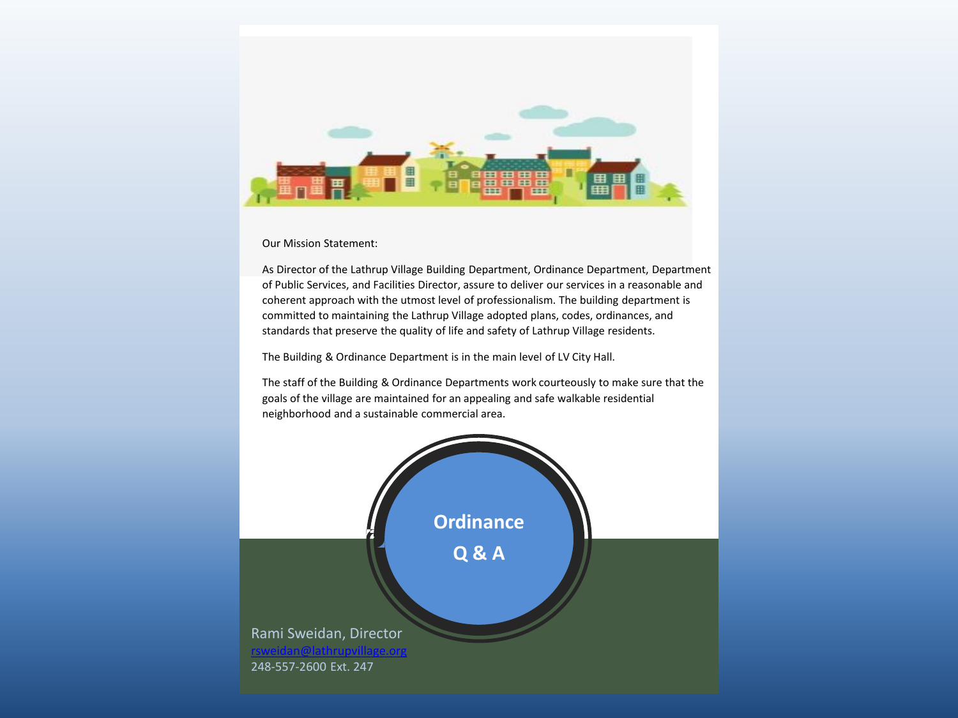

Our Mission Statement:

As Director of the Lathrup Village Building Department, Ordinance Department, Department of Public Services, and Facilities Director, assure to deliver our services in a reasonable and coherent approach with the utmost level of professionalism. The building department is committed to maintaining the Lathrup Village adopted plans, codes, ordinances, and standards that preserve the quality of life and safety of Lathrup Village residents.

The Building & Ordinance Department is in the main level of LV City Hall.

The staff of the Building & Ordinance Departments work courteously to make sure that the goals of the village are maintained for an appealing and safe walkable residential neighborhood and a sustainable commercial area.

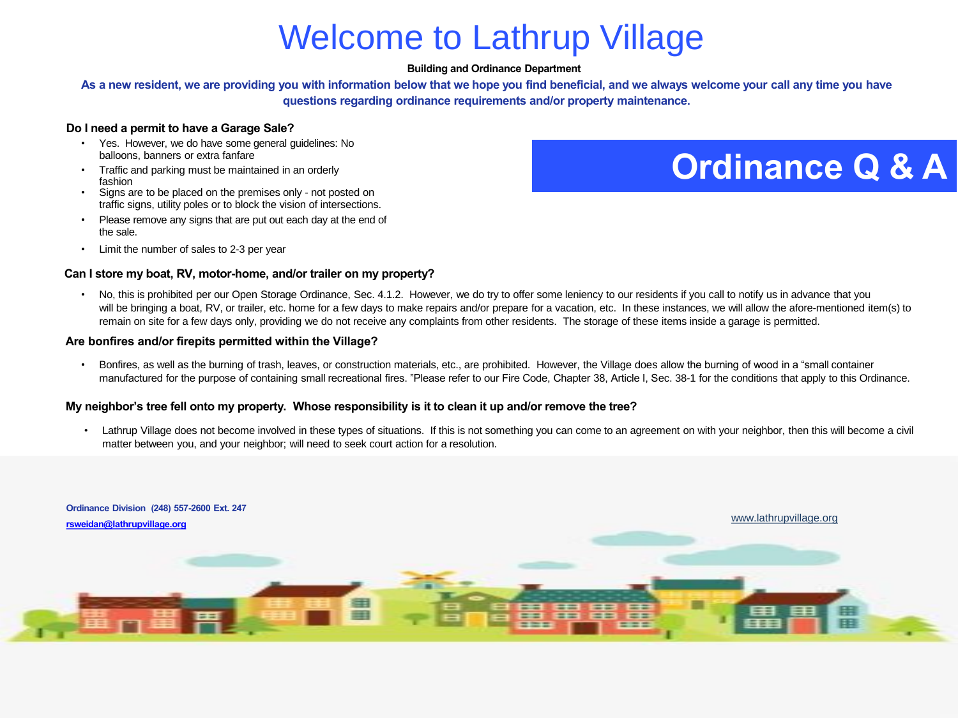# Welcome to Lathrup Village

#### **Building and Ordinance Department**

**As a new resident, we are providing you with information below that we hope you find beneficial, and we always welcome your call any time you have questions regarding ordinance requirements and/or property maintenance.**

#### **Do I need a permit to have a Garage Sale?**

- Yes. However, we do have some general guidelines: No balloons, banners or extra fanfare
- Traffic and parking must be maintained in an orderly fashion
- Signs are to be placed on the premises only not posted on traffic signs, utility poles or to block the vision of intersections.
- Please remove any signs that are put out each day at the end of the sale.
- Limit the number of sales to 2-3 per year

#### **Can I store my boat, RV, motor-home, and/or trailer on my property?**

**Ordinance Q & A**

No, this is prohibited per our Open Storage Ordinance, Sec. 4.1.2. However, we do try to offer some leniency to our residents if you call to notify us in advance that you will be bringing a boat, RV, or trailer, etc. home for a few days to make repairs and/or prepare for a vacation, etc. In these instances, we will allow the afore-mentioned item(s) to remain on site for a few days only, providing we do not receive any complaints from other residents. The storage of these items inside a garage is permitted.

#### **Are bonfires and/or firepits permitted within the Village?**

• Bonfires, as well as the burning of trash, leaves, or construction materials, etc., are prohibited. However, the Village does allow the burning of wood in a "small container manufactured for the purpose of containing small recreational fires. "Please refer to our Fire Code, Chapter 38, Article I, Sec. 38-1 for the conditions that apply to this Ordinance.

#### **My neighbor's tree fell onto my property. Whose responsibility is it to clean it up and/or remove the tree?**

• Lathrup Village does not become involved in these types of situations. If this is not something you can come to an agreement on with your neighbor, then this will become a civil matter between you, and your neighbor; will need to seek court action for a resolution.

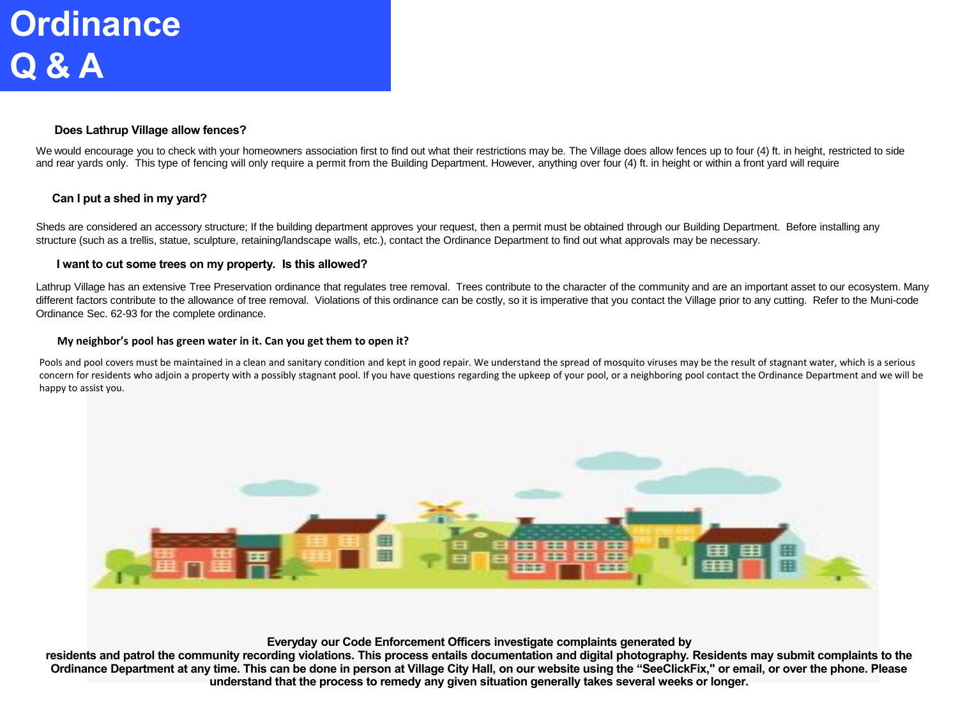### **Does Lathrup Village allow fences?**

We would encourage you to check with your homeowners association first to find out what their restrictions may be. The Village does allow fences up to four (4) ft. in height, restricted to side and rear yards only. This type of fencing will only require a permit from the Building Department. However, anything over four (4) ft. in height or within a front yard will require

## **Can I put a shed in my yard?**

Sheds are considered an accessory structure; If the building department approves your request, then a permit must be obtained through our Building Department. Before installing any structure (such as a trellis, statue, sculpture, retaining/landscape walls, etc.), contact the Ordinance Department to find out what approvals may be necessary.

#### **I want to cut some trees on my property. Is this allowed?**

Lathrup Village has an extensive Tree Preservation ordinance that regulates tree removal. Trees contribute to the character of the community and are an important asset to our ecosystem. Many different factors contribute to the allowance of tree removal. Violations of this ordinance can be costly, so it is imperative that you contact the Village prior to any cutting. Refer to the Muni-code Ordinance Sec. 62-93 for the complete ordinance.

#### **My neighbor's pool has green water in it. Can you get them to open it?**

Pools and pool covers must be maintained in a clean and sanitary condition and kept in good repair. We understand the spread of mosquito viruses may be the result of stagnant water, which is a serious concern for residents who adjoin a property with a possibly stagnant pool. If you have questions regarding the upkeep of your pool, or a neighboring pool contact the Ordinance Department and we will be happy to assist you.



**Everyday our Code Enforcement Officers investigate complaints generated by**

**residents and patrol the community recording violations. This process entails documentation and digital photography. Residents may submit complaints to the Ordinance Department at any time. This can be done in person at Village City Hall, on our website using the "SeeClickFix," or email, or over the phone. Please understand that the process to remedy any given situation generally takes several weeks or longer.**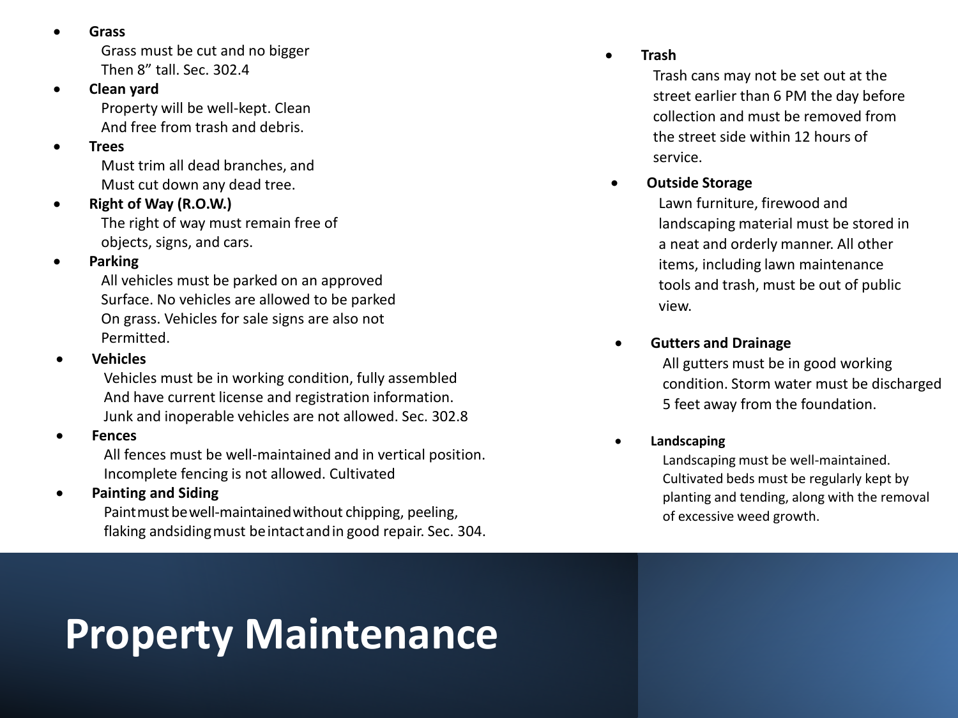• **Grass**

Grass must be cut and no bigger Then 8" tall. Sec. 302.4

## • **Clean yard**

Property will be well-kept. Clean And free from trash and debris.

## • **Trees**

Must trim all dead branches, and Must cut down any dead tree.

## • **Right of Way (R.O.W.)**

The right of way must remain free of objects, signs, and cars.

## • **Parking**

All vehicles must be parked on an approved Surface. No vehicles are allowed to be parked On grass. Vehicles for sale signs are also not Permitted.

## • **Vehicles**

Vehicles must be in working condition, fully assembled And have current license and registration information. Junk and inoperable vehicles are not allowed. Sec. 302.8

## • **Fences**

All fences must be well-maintained and in vertical position. Incomplete fencing is not allowed. Cultivated

## • **Painting and Siding**

Paint must be well-maintained without chipping, peeling, flaking andsidingmust beintactandin good repair. Sec. 304.

# **Property Maintenance**

## • **Trash**

Trash cans may not be set out at the street earlier than 6 PM the day before collection and must be removed from the street side within 12 hours of service.

• **Outside Storage**

Lawn furniture, firewood and landscaping material must be stored in a neat and orderly manner. All other items, including lawn maintenance tools and trash, must be out of public view.

## • **Gutters and Drainage**

All gutters must be in good working condition. Storm water must be discharged 5 feet away from the foundation.

## • **Landscaping**

Landscaping must be well-maintained. Cultivated beds must be regularly kept by planting and tending, along with the removal of excessive weed growth.